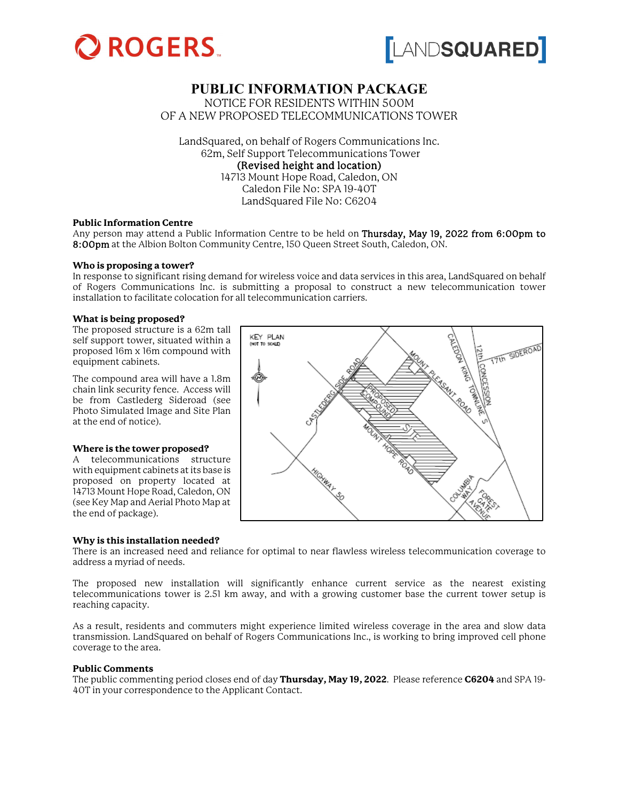



# **PUBLIC INFORMATION PACKAGE**

NOTICE FOR RESIDENTS WITHIN 500M OF A NEW PROPOSED TELECOMMUNICATIONS TOWER

LandSquared, on behalf of Rogers Communications Inc. 62m, Self Support Telecommunications Tower (Revised height and location) 14713 Mount Hope Road, Caledon, ON Caledon File No: SPA 19-40T LandSquared File No: C6204

#### **Public Information Centre**

Any person may attend a Public Information Centre to be held on Thursday, May 19, 2022 from 6:00pm to 8:00pm at the Albion Bolton Community Centre, 150 Queen Street South, Caledon, ON.

#### **Who is proposing a tower?**

In response to significant rising demand for wireless voice and data services in this area, LandSquared on behalf of Rogers Communications Inc. is submitting a proposal to construct a new telecommunication tower installation to facilitate colocation for all telecommunication carriers.

#### **What is being proposed?**

The proposed structure is a 62m tall self support tower, situated within a proposed 16m x 16m compound with equipment cabinets.

The compound area will have a 1.8m chain link security fence. Access will be from Castlederg Sideroad (see Photo Simulated Image and Site Plan at the end of notice).

#### **Where is the tower proposed?**

A telecommunications structure with equipment cabinets at its base is proposed on property located at 14713 Mount Hope Road, Caledon, ON (see Key Map and Aerial Photo Map at the end of package).

#### **Why is this installation needed?**



There is an increased need and reliance for optimal to near flawless wireless telecommunication coverage to address a myriad of needs.

The proposed new installation will significantly enhance current service as the nearest existing telecommunications tower is 2.51 km away, and with a growing customer base the current tower setup is reaching capacity.

As a result, residents and commuters might experience limited wireless coverage in the area and slow data transmission. LandSquared on behalf of Rogers Communications Inc., is working to bring improved cell phone coverage to the area.

#### **Public Comments**

The public commenting period closes end of day **Thursday, May 19, 2022**. Please reference **C6204** and SPA 19- 40T in your correspondence to the Applicant Contact.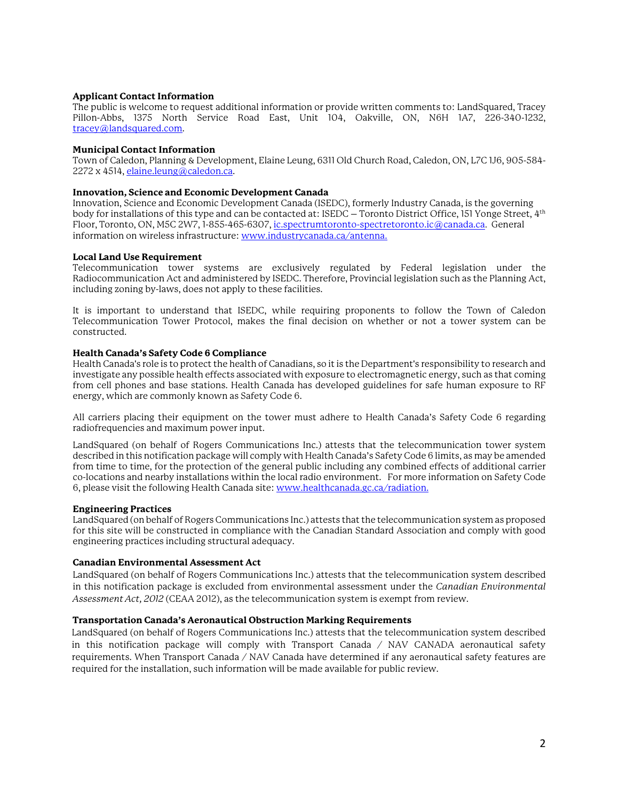#### **Applicant Contact Information**

The public is welcome to request additional information or provide written comments to: LandSquared, Tracey Pillon-Abbs, 1375 North Service Road East, Unit 104, Oakville, ON, N6H 1A7, 226-340-1232, [tracey@landsquared.com.](mailto:tracey@landsquared.com) 

#### **Municipal Contact Information**

Town of Caledon, Planning & Development, Elaine Leung, 6311 Old Church Road, Caledon, ON, L7C 1J6, 905-584- 2272 x 4514[, elaine.leung@caledon.ca.](mailto:elaine.leung@caledon.ca)

#### **Innovation, Science and Economic Development Canada**

Innovation, Science and Economic Development Canada (ISEDC), formerly Industry Canada, is the governing body for installations of this type and can be contacted at: ISEDC – Toronto District Office, 151 Yonge Street, 4<sup>th</sup> Floor, Toronto, ON, M5C 2W7, 1-855-465-6307[, ic.spectrumtoronto-spectretoronto.ic@canada.ca](mailto:ic.spectrumtoronto-spectretoronto.ic@canada.ca). General information on wireless infrastructure: [www.industrycanada.ca/antenna.](http://www.industrycanada.ca/antenna)

## **Local Land Use Requirement**

Telecommunication tower systems are exclusively regulated by Federal legislation under the Radiocommunication Act and administered by ISEDC. Therefore, Provincial legislation such as the Planning Act, including zoning by-laws, does not apply to these facilities.

It is important to understand that ISEDC, while requiring proponents to follow the Town of Caledon Telecommunication Tower Protocol, makes the final decision on whether or not a tower system can be constructed.

## **Health Canada's Safety Code 6 Compliance**

Health Canada's role is to protect the health of Canadians, so it is the Department's responsibility to research and investigate any possible health effects associated with exposure to electromagnetic energy, such as that coming from cell phones and base stations. Health Canada has developed guidelines for safe human exposure to RF energy, which are commonly known as Safety Code 6.

All carriers placing their equipment on the tower must adhere to Health Canada's Safety Code 6 regarding radiofrequencies and maximum power input.

LandSquared (on behalf of Rogers Communications Inc.) attests that the telecommunication tower system described in this notification package will comply with Health Canada's Safety Code 6 limits, as may be amended from time to time, for the protection of the general public including any combined effects of additional carrier co-locations and nearby installations within the local radio environment. For more information on Safety Code 6, please visit the following Health Canada site[: www.healthcanada.gc.ca/radiation.](http://www.healthcanada.gc.ca/radiation)

# **Engineering Practices**

LandSquared (on behalf of Rogers Communications Inc.) attests that the telecommunication system as proposed for this site will be constructed in compliance with the Canadian Standard Association and comply with good engineering practices including structural adequacy.

#### **Canadian Environmental Assessment Act**

LandSquared (on behalf of Rogers Communications Inc.) attests that the telecommunication system described in this notification package is excluded from environmental assessment under the *Canadian Environmental Assessment Act, 2012* (CEAA 2012), as the telecommunication system is exempt from review.

# **Transportation Canada's Aeronautical Obstruction Marking Requirements**

LandSquared (on behalf of Rogers Communications Inc.) attests that the telecommunication system described in this notification package will comply with Transport Canada / NAV CANADA aeronautical safety requirements. When Transport Canada / NAV Canada have determined if any aeronautical safety features are required for the installation, such information will be made available for public review.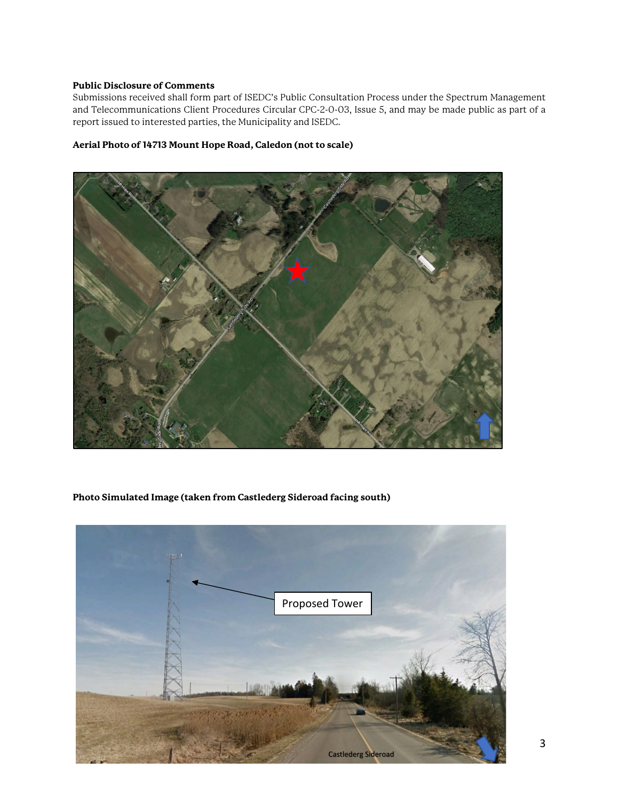## **Public Disclosure of Comments**

Submissions received shall form part of ISEDC's Public Consultation Process under the Spectrum Management and Telecommunications Client Procedures Circular CPC-2-0-03, Issue 5, and may be made public as part of a report issued to interested parties, the Municipality and ISEDC.

# **Aerial Photo of 14713 Mount Hope Road, Caledon (not to scale)**



# **Photo Simulated Image (taken from Castlederg Sideroad facing south)**